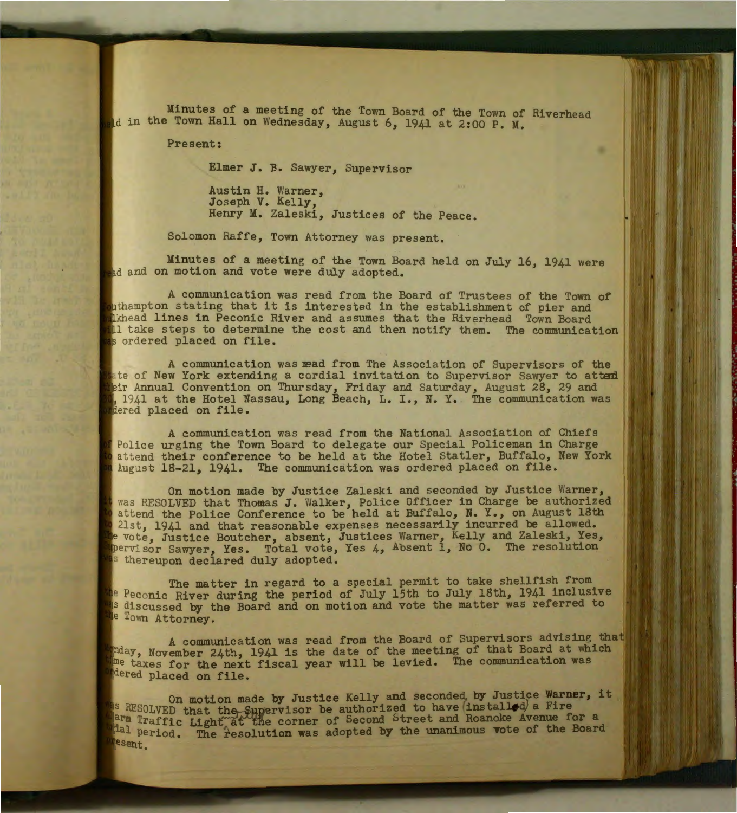Minutes of a meeting of the Tovm Board of the Town of Riverhead Id in the Town Hall on Wednesday, August 6, 1941 at 2:00 P. M.

Present:

Elmer J. B. Sawyer, Supervisor

Austin H. Warner, Joseph V. Kelly, Henry M. Zaleski, Justices of the Peace.

Solomon Raffe, Town Attorney was present.

Minutes of a meeting of the Town Board held on July 16, 1941 were and on motion and vote were duly adopted.

A communication was read from the Board of Trustees of the Town of inthampton stating that it is interested in the establishment of pier and wikhead lines in Peconic River and assumes that the Riverhead Town Board thake steps to determine the cost and then notify them. The communication s ordered placed on file.

A communication was read from The Association of Supervisors of the tate of New York extending a cordial invitation to Supervisor Sawyer to attend eir Annual Convention on Thursday, Friday and Saturday, August 28, 29 and 1941 at the Hotel Nassau, Long Beach, L. I., N. Y. The communication was dered placed on file.

A communication was read from the National Association of Chiefs Police urging the Town Board to delegate our Special Policeman in Charge attend their conference to be held at the Hotel Statler, Buffalo, New York August 18-21, 1941. The communication was ordered placed on file.

On motion made by Justice Zaleski and seconded by Justice Warner, was RESOLVED that Thomas J. Walker, Police Officer in Charge be authorized attend the Police Conference to be held at Buffalo, N. Y., on August 18th 21st, 1941 and that reasonable expenses necessarily incurred be allowed. vote, Justice Boutcher, absent, Justices Warner, Kelly and Zaleski, Yes, ervisor Sawyer, Yes. Total vote, Yes 4, Absent 1, No 0. The resolution s thereupon declared duly adopted.

The matter in regard to a special permit to take shellfish from as Peconic River during the period of July 15th to July 18th, 1941 inclusive <sup>18</sup> discussed by the Board and on motion and vote the matter was referred to the Town Attorney.

A communication was read from the Board of Supervisors advising that mday, November 24th, 1941 is the date of the meeting of that Board at which me taxes for the next fiscal year will be levied. The communication was Mered placed on file.

On motion made by Justice Kelly and seconded by Justice **Warner, it**  RESOLVED that the Supervisor be authorized to have  $(\text{ins tall} \triangleleft)$  a Fire Traffic Light<sup>\*</sup>at the corner of Second Street and Roanoke Avenue for a Hal period. The resolution was adopted by the unanimous vote of the Board esent.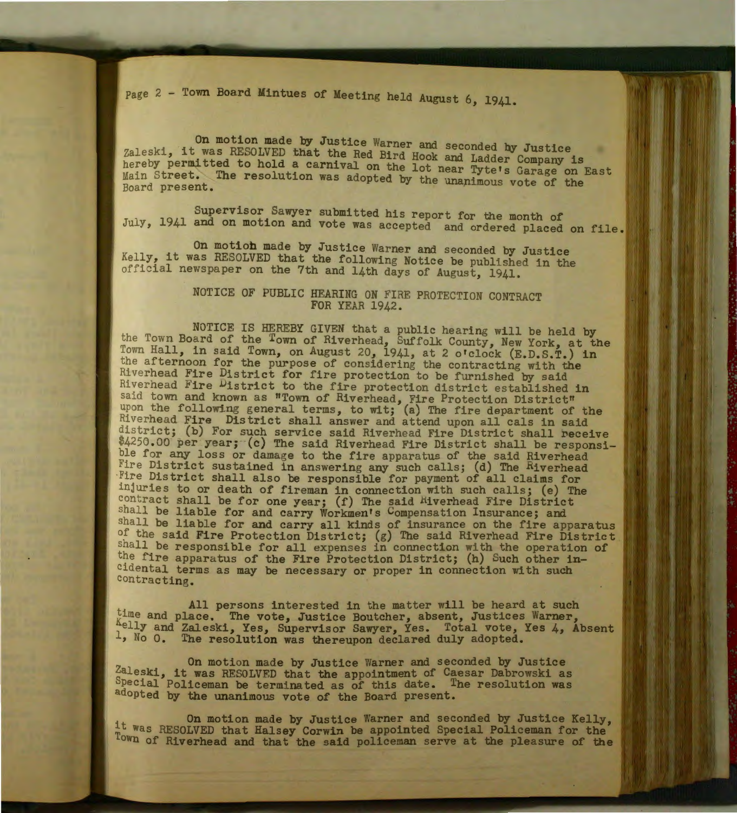Page 2 - Town Board Mintues of Meeting held August 6, 1941.

On motion made by Justice Warner and seconded by Justice Zaleski, it was RESOLVED that the Red Bird Hook and Ladder Company is hereby permitted to hold a carnival on the lot near Tyte's Garage on East Main Street. The resolution was adopted by the unanimous vote of the Board present.

Supervisor Sawyer submitted his report for the month of July, 1941 and on motion and vote was accepted and ordered placed on file.

On motioh made by Justice Warner and seconded by Justice Kelly, it was RESOLVED that the following Notice be published in the official newspaper on the 7th and 14th days of August, 1941.

## NOTICE OF PUBLIC HEARING ON FIRE PROTECTION CONTRACT FOR YEAR 1942.

NOTICE IS HEREBY GIVEN that a public hearing will be held by<br>the Town Board of the Town of Riverhead, Suffolk County, New York, at the Town Hall, in said Town, on August 20, 1941, at 2 o'clock (E.D.S.T.) in the afternoon for the purpose of considering the contracting with the Riverhead Fire District for fire protection to be furnished by said Riverhead Fire District to the fire protection district established in said town and known as "Town of Riverhead, Fire Protection District" upon the following general terms, to wit; (a) The fire department of the Riverhead Fire District shall answer and attend upon all cals in said district; (b) For such service said Riverhead Fire District shall receive \$4250.00 per year; (c) The said Riverhead Fire District shall be responsible for any loss or damage to the fire apparatus of the said Riverhead Fire District sustained in answering any such calls; (d) The Riverhead Fire District shall also be responsible for payment of all claims for injurie s to or death of fireman in connection with such calls; (e) The contract shall be for one year;  $(f)$  The said Hiverhead Fire District shall be liable for and carry Workmen's Compensation Insurance; and shall be liable for and carry all kinds of insurance on the fire apparatus of the said Fire Protection District; (g) The said Riverhead Fire District shall be responsible for all expenses in connection with the operation of the fire apparatus of the Fire Protection District; (h) Such other incidental terms as may be necessary or proper in connection with such contracting.

All persons interested in the matter will be heard at such time and place. The vote, Justice Boutcher, absent, Justices Warner, Aelly and Zaleski, Yes, Supervisor Sawyer, Yes. Total vote, Yes 4, Absent <sup>1</sup>, No 0. The resolution was thereupon declared duly adopted.

On motion made by Justice Warner and seconded by Justice Zaleski, it was RESOLVED that the appointment of Caesar Dabrowski as Special Policeman be terminated as of this date. The resolution was adopted by the unanimous vote of the Board present.

On motion made by Justice Warner and seconded by Justice Kelly, l t was RESOLVED that Halsey Corwin be appointed Special Policeman for the Town of Hiverhead and that the said policeman serve at the pleasure of the